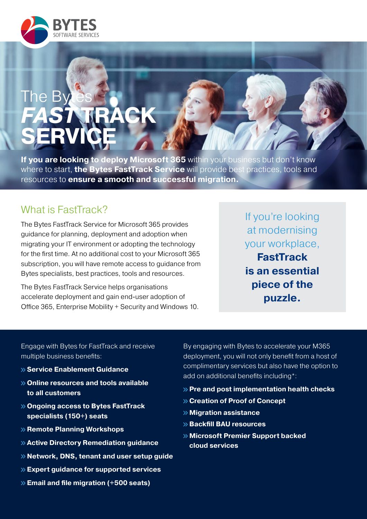

# The B *FAST* **TRACK SERVICE**

**If you are looking to deploy Microsoft 365** within your business but don't know where to start, **the Bytes FastTrack Service** will provide best practices, tools and resources to **ensure a smooth and successful migration.**

## What is FastTrack?

The Bytes FastTrack Service for Microsoft 365 provides guidance for planning, deployment and adoption when migrating your IT environment or adopting the technology for the first time. At no additional cost to your Microsoft 365 subscription, you will have remote access to guidance from Bytes specialists, best practices, tools and resources.

The Bytes FastTrack Service helps organisations accelerate deployment and gain end-user adoption of Office 365, Enterprise Mobility + Security and Windows 10. If you're looking at modernising your workplace, **FastTrack is an essential piece of the puzzle.**

Engage with Bytes for FastTrack and receive multiple business benefits:

- **Service Enablement Guidance**
- **Online resources and tools available to all customers**
- **Ongoing access to Bytes FastTrack specialists (150+) seats**
- **Remote Planning Workshops**
- **Active Directory Remediation guidance**
- **Network, DNS, tenant and user setup guide**
- **Expert guidance for supported services**
- **Email and file migration (+500 seats)**

By engaging with Bytes to accelerate your M365 deployment, you will not only benefit from a host of complimentary services but also have the option to add on additional benefits including\*:

- **Pre and post implementation health checks**
- **Creation of Proof of Concept**
- **Migration assistance**
- **Backfill BAU resources**
- **Microsoft Premier Support backed cloud services**